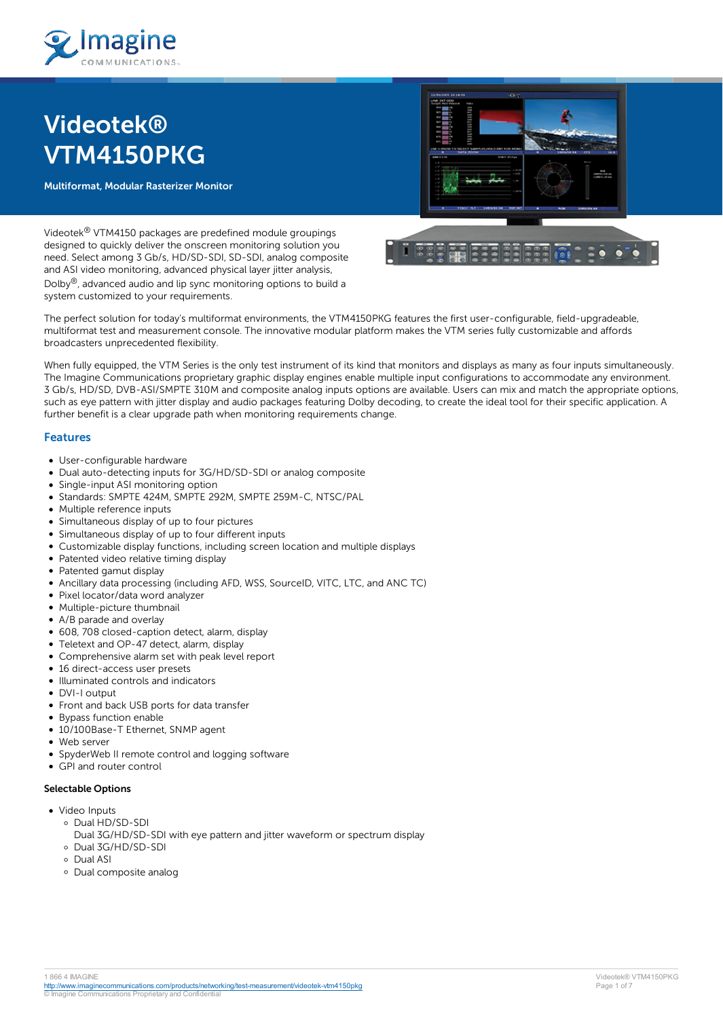

# **Videotek® VTM4150PKG**

**Multiformat, Modular Rasterizer Monitor**



Videotek® VTM4150 packages are predefined module groupings designed to quickly deliver the onscreen monitoring solution you need. Select among 3 Gb/s, HD/SD-SDI, SD-SDI, analog composite and ASI video monitoring, advanced physical layer jitter analysis, Dolby®, advanced audio and lip sync monitoring options to build a system customized to your requirements.

The perfect solution for today's multiformat environments, the VTM4150PKG features the first user-configurable, field-upgradeable, multiformat test and measurement console. The innovative modular platform makes the VTM series fully customizable and affords broadcasters unprecedented flexibility.

When fully equipped, the VTM Series is the only test instrument of its kind that monitors and displays as many as four inputs simultaneously. The Imagine Communications proprietary graphic display engines enable multiple input configurations to accommodate any environment. 3 Gb/s, HD/SD, DVB-ASI/SMPTE 310M and composite analog inputs options are available. Users can mix and match the appropriate options, such as eye pattern with jitter display and audio packages featuring Dolby decoding, to create the ideal tool for their specific application. A further benefit is a clear upgrade path when monitoring requirements change.

# **Features**

- User-configurable hardware
- Dual auto-detecting inputs for 3G/HD/SD-SDI or analog composite
- Single-input ASI monitoring option
- Standards: SMPTE 424M, SMPTE 292M, SMPTE 259M-C, NTSC/PAL
- Multiple reference inputs
- Simultaneous display of up to four pictures
- Simultaneous display of up to four different inputs
- Customizable display functions, including screen location and multiple displays
- Patented video relative timing display
- Patented gamut display
- Ancillary data processing (including AFD, WSS, SourceID, VITC, LTC, and ANC TC)
- Pixel locator/data word analyzer
- Multiple-picture thumbnail
- A/B parade and overlay
- 608, 708 closed-caption detect, alarm, display
- Teletext and OP-47 detect, alarm, display  $\bullet$
- Comprehensive alarm set with peak level report
- 16 direct-access user presets
- Illuminated controls and indicators
- DVI-I output
- Front and back USB ports for data transfer
- Bypass function enable
- 10/100Base-T Ethernet, SNMP agent
- Web server
- SpyderWeb II remote control and logging software
- GPI and router control

#### **Selectable Options**

- Video Inputs
	- Dual HD/SD-SDI
		- Dual 3G/HD/SD-SDI with eye pattern and jitter waveform or spectrum display
	- Dual 3G/HD/SD-SDI
	- Dual ASI
	- Dual composite analog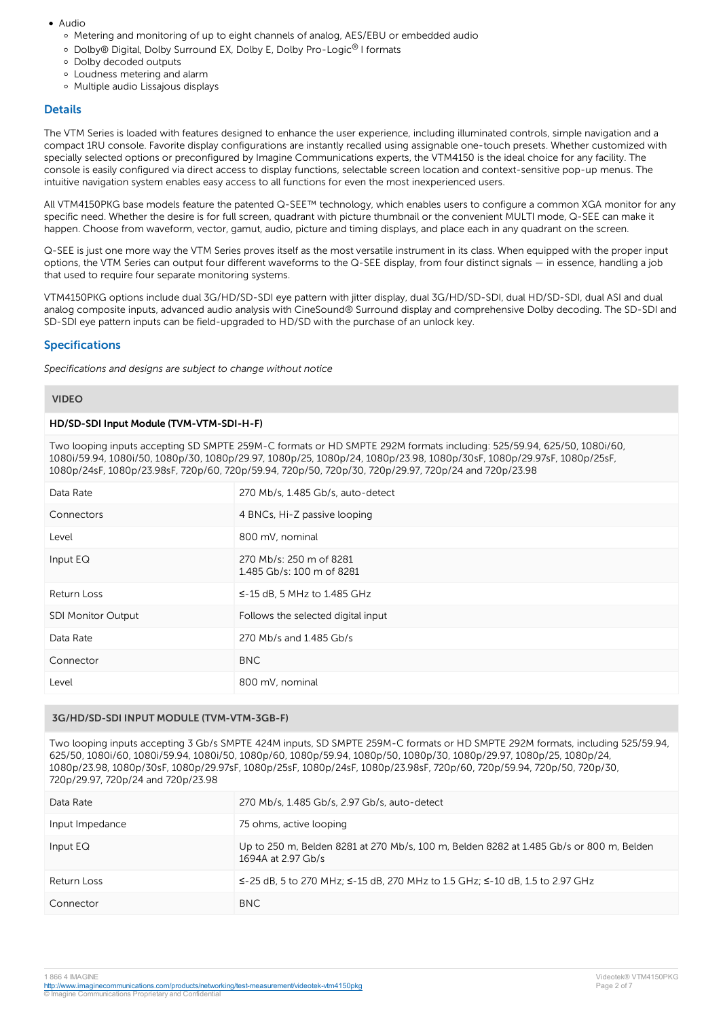- Audio
	- Metering and monitoring of up to eight channels of analog, AES/EBU or embedded audio
	- Dolby® Digital, Dolby Surround EX, Dolby E, Dolby Pro-Logic® I formats
	- Dolby decoded outputs
	- Loudness metering and alarm
	- Multiple audio Lissajous displays

### **Details**

The VTM Series is loaded with features designed to enhance the user experience, including illuminated controls, simple navigation and a compact 1RU console. Favorite display configurations are instantly recalled using assignable one-touch presets. Whether customized with specially selected options or preconfigured by Imagine Communications experts, the VTM4150 is the ideal choice for any facility. The console is easily configured via direct access to display functions, selectable screen location and context-sensitive pop-up menus. The intuitive navigation system enables easy access to all functions for even the most inexperienced users.

All VTM4150PKG base models feature the patented Q-SEE™ technology, which enables users to configure a common XGA monitor for any specific need. Whether the desire is for full screen, quadrant with picture thumbnail or the convenient MULTI mode, Q-SEE can make it happen. Choose from waveform, vector, gamut, audio, picture and timing displays, and place each in any quadrant on the screen.

Q-SEE is just one more way the VTM Series proves itself as the most versatile instrument in its class. When equipped with the proper input options, the VTM Series can output four different waveforms to the Q-SEE display, from four distinct signals — in essence, handling a job that used to require four separate monitoring systems.

VTM4150PKG options include dual 3G/HD/SD-SDI eye pattern with jitter display, dual 3G/HD/SD-SDI, dual HD/SD-SDI, dual ASI and dual analog composite inputs, advanced audio analysis with CineSound® Surround display and comprehensive Dolby decoding. The SD-SDI and SD-SDI eye pattern inputs can be field-upgraded to HD/SD with the purchase of an unlock key.

# **Specifications**

*Specifications and designs are subject to change without notice*

#### **VIDEO**

#### **HD/SD-SDI Input Module (TVM-VTM-SDI-H-F)**

Two looping inputs accepting SD SMPTE 259M-C formats or HD SMPTE 292M formats including: 525/59.94, 625/50, 1080i/60, 1080i/59.94, 1080i/50, 1080p/30, 1080p/29.97, 1080p/25, 1080p/24, 1080p/23.98, 1080p/30sF, 1080p/29.97sF, 1080p/25sF, 1080p/24sF, 1080p/23.98sF, 720p/60, 720p/59.94, 720p/50, 720p/30, 720p/29.97, 720p/24 and 720p/23.98

| Data Rate                 | 270 Mb/s, 1.485 Gb/s, auto-detect                    |
|---------------------------|------------------------------------------------------|
| Connectors                | 4 BNCs, Hi-Z passive looping                         |
| Level                     | 800 mV, nominal                                      |
| Input EQ                  | 270 Mb/s: 250 m of 8281<br>1.485 Gb/s: 100 m of 8281 |
| Return Loss               | $\le$ -15 dB, 5 MHz to 1.485 GHz                     |
| <b>SDI Monitor Output</b> | Follows the selected digital input                   |
| Data Rate                 | 270 Mb/s and 1.485 Gb/s                              |
| Connector                 | <b>BNC</b>                                           |
| Level                     | 800 mV, nominal                                      |

# **3G/HD/SD-SDI INPUT MODULE (TVM-VTM-3GB-F)**

Two looping inputs accepting 3 Gb/s SMPTE 424M inputs, SD SMPTE 259M-C formats or HD SMPTE 292M formats, including 525/59.94, 625/50, 1080i/60, 1080i/59.94, 1080i/50, 1080p/60, 1080p/59.94, 1080p/50, 1080p/30, 1080p/29.97, 1080p/25, 1080p/24, 1080p/23.98, 1080p/30sF, 1080p/29.97sF, 1080p/25sF, 1080p/24sF, 1080p/23.98sF, 720p/60, 720p/59.94, 720p/50, 720p/30, 720p/29.97, 720p/24 and 720p/23.98

| Data Rate       | 270 Mb/s, 1.485 Gb/s, 2.97 Gb/s, auto-detect                                                                  |
|-----------------|---------------------------------------------------------------------------------------------------------------|
| Input Impedance | 75 ohms, active looping                                                                                       |
| Input $EQ$      | Up to 250 m, Belden 8281 at 270 Mb/s, 100 m, Belden 8282 at 1.485 Gb/s or 800 m, Belden<br>1694A at 2.97 Gb/s |
| Return Loss     | ≤-25 dB, 5 to 270 MHz; ≤-15 dB, 270 MHz to 1.5 GHz; ≤-10 dB, 1.5 to 2.97 GHz                                  |
| Connector       | BNC.                                                                                                          |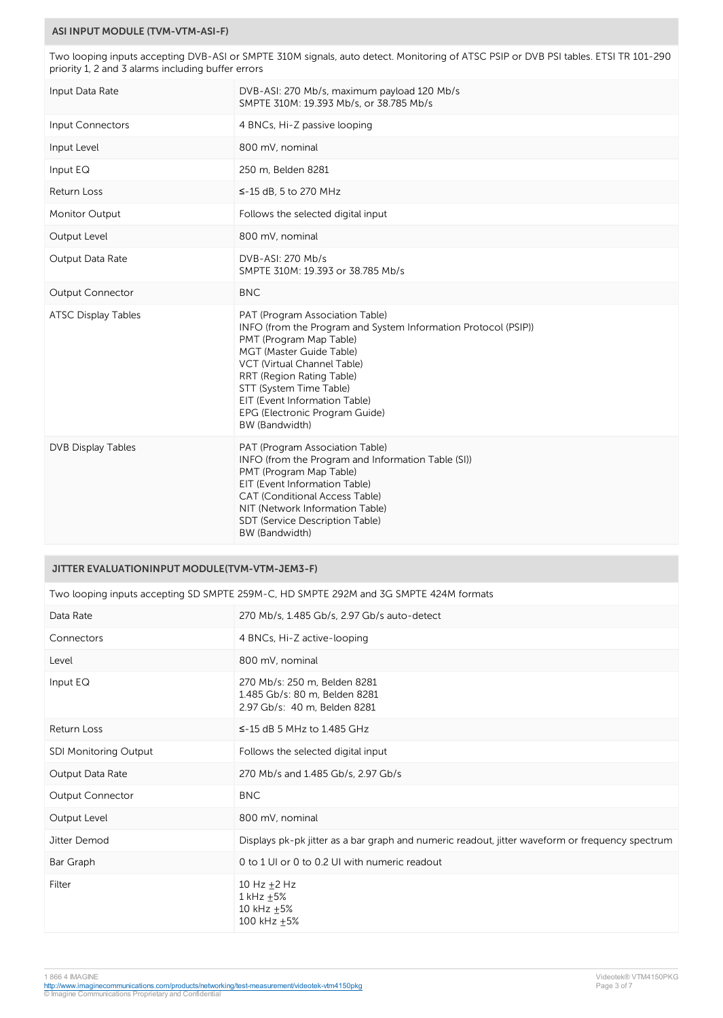## **ASI INPUT MODULE (TVM-VTM-ASI-F)**

Two looping inputs accepting DVB-ASI or SMPTE 310M signals, auto detect. Monitoring of ATSC PSIP or DVB PSI tables. ETSI TR 101-290 priority 1, 2 and 3 alarms including buffer errors

| Input Data Rate            | DVB-ASI: 270 Mb/s, maximum payload 120 Mb/s<br>SMPTE 310M: 19.393 Mb/s, or 38.785 Mb/s                                                                                                                                                                                                                                               |
|----------------------------|--------------------------------------------------------------------------------------------------------------------------------------------------------------------------------------------------------------------------------------------------------------------------------------------------------------------------------------|
| Input Connectors           | 4 BNCs, Hi-Z passive looping                                                                                                                                                                                                                                                                                                         |
| Input Level                | 800 mV, nominal                                                                                                                                                                                                                                                                                                                      |
| Input EQ                   | 250 m, Belden 8281                                                                                                                                                                                                                                                                                                                   |
| <b>Return Loss</b>         | $\le$ -15 dB, 5 to 270 MHz                                                                                                                                                                                                                                                                                                           |
| <b>Monitor Output</b>      | Follows the selected digital input                                                                                                                                                                                                                                                                                                   |
| Output Level               | 800 mV, nominal                                                                                                                                                                                                                                                                                                                      |
| Output Data Rate           | DVB-ASI: 270 Mb/s<br>SMPTE 310M: 19.393 or 38.785 Mb/s                                                                                                                                                                                                                                                                               |
| <b>Output Connector</b>    | <b>BNC</b>                                                                                                                                                                                                                                                                                                                           |
| <b>ATSC Display Tables</b> | PAT (Program Association Table)<br>INFO (from the Program and System Information Protocol (PSIP))<br>PMT (Program Map Table)<br>MGT (Master Guide Table)<br>VCT (Virtual Channel Table)<br>RRT (Region Rating Table)<br>STT (System Time Table)<br>EIT (Event Information Table)<br>EPG (Electronic Program Guide)<br>BW (Bandwidth) |
| DVB Display Tables         | PAT (Program Association Table)<br>INFO (from the Program and Information Table (SI))<br>PMT (Program Map Table)<br>EIT (Event Information Table)<br>CAT (Conditional Access Table)<br>NIT (Network Information Table)<br>SDT (Service Description Table)<br>BW (Bandwidth)                                                          |

# **JITTER EVALUATIONINPUT MODULE(TVM-VTM-JEM3-F)**

| Two looping inputs accepting SD SMPTE 259M-C, HD SMPTE 292M and 3G SMPTE 424M formats |                                                                                                 |
|---------------------------------------------------------------------------------------|-------------------------------------------------------------------------------------------------|
| Data Rate                                                                             | 270 Mb/s, 1.485 Gb/s, 2.97 Gb/s auto-detect                                                     |
| Connectors                                                                            | 4 BNCs, Hi-Z active-looping                                                                     |
| Level                                                                                 | 800 mV, nominal                                                                                 |
| Input EQ                                                                              | 270 Mb/s: 250 m, Belden 8281<br>1.485 Gb/s: 80 m, Belden 8281<br>2.97 Gb/s: 40 m, Belden 8281   |
| Return Loss                                                                           | $\le$ -15 dB 5 MHz to 1.485 GHz                                                                 |
| SDI Monitoring Output                                                                 | Follows the selected digital input                                                              |
| Output Data Rate                                                                      | 270 Mb/s and 1.485 Gb/s, 2.97 Gb/s                                                              |
| <b>Output Connector</b>                                                               | <b>BNC</b>                                                                                      |
| Output Level                                                                          | 800 mV, nominal                                                                                 |
| Jitter Demod                                                                          | Displays pk-pk jitter as a bar graph and numeric readout, jitter waveform or frequency spectrum |
| Bar Graph                                                                             | 0 to 1 UI or 0 to 0.2 UI with numeric readout                                                   |
| Filter                                                                                | 10 Hz $+2$ Hz<br>$1$ kHz $\pm$ 5%<br>10 kHz $\pm$ 5%<br>100 kHz +5%                             |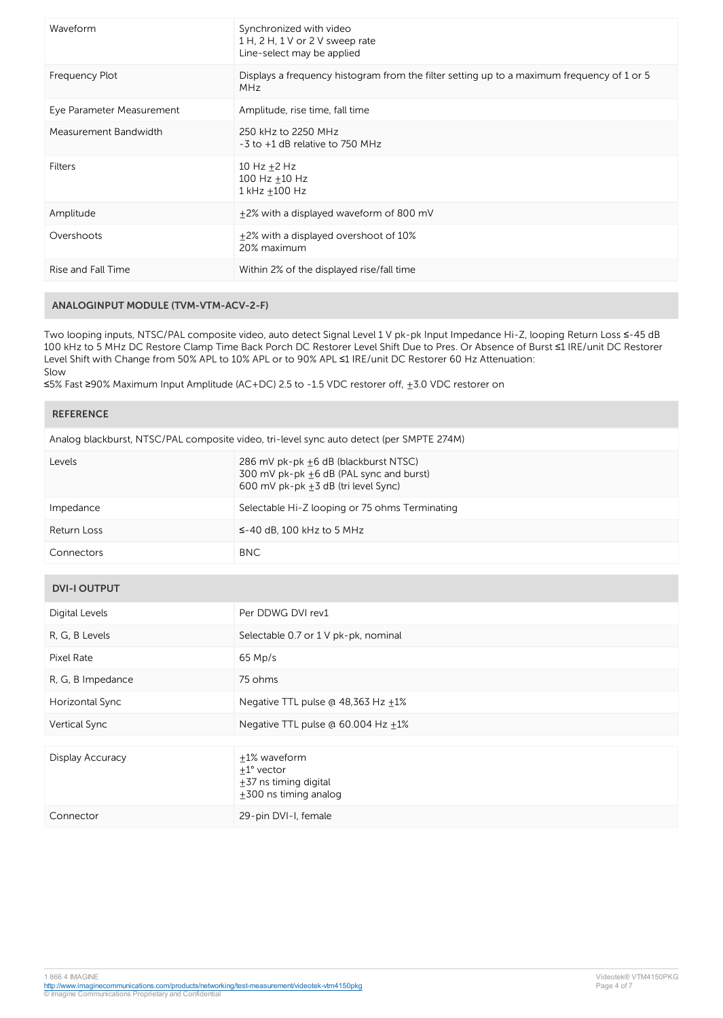| Waveform                  | Synchronized with video<br>1 H, 2 H, 1 V or 2 V sweep rate<br>Line-select may be applied                 |
|---------------------------|----------------------------------------------------------------------------------------------------------|
| Frequency Plot            | Displays a frequency histogram from the filter setting up to a maximum frequency of 1 or 5<br><b>MHz</b> |
| Eye Parameter Measurement | Amplitude, rise time, fall time                                                                          |
| Measurement Bandwidth     | 250 kHz to 2250 MHz<br>$-3$ to $+1$ dB relative to 750 MHz                                               |
| Filters                   | $10$ Hz +2 Hz<br>100 Hz +10 Hz<br>1 kHz +100 Hz                                                          |
| Amplitude                 | $±2%$ with a displayed waveform of 800 mV                                                                |
| Overshoots                | +2% with a displayed overshoot of 10%<br>20% maximum                                                     |
| Rise and Fall Time        | Within 2% of the displayed rise/fall time                                                                |

## **ANALOGINPUT MODULE (TVM-VTM-ACV-2-F)**

Two looping inputs, NTSC/PAL composite video, auto detect Signal Level 1 V pk-pk Input Impedance Hi-Z, looping Return Loss ≤-45 dB 100 kHz to 5 MHz DC Restore Clamp Time Back Porch DC Restorer Level Shift Due to Pres. Or Absence of Burst ≤1 IRE/unit DC Restorer Level Shift with Change from 50% APL to 10% APL or to 90% APL ≤1 IRE/unit DC Restorer 60 Hz Attenuation: Slow

≤5% Fast ≥90% Maximum Input Amplitude (AC+DC) 2.5 to -1.5 VDC restorer off, ±3.0 VDC restorer on

| <b>REFERENCE</b>                                                                         |                                                                                                                        |  |
|------------------------------------------------------------------------------------------|------------------------------------------------------------------------------------------------------------------------|--|
| Analog blackburst, NTSC/PAL composite video, tri-level sync auto detect (per SMPTE 274M) |                                                                                                                        |  |
| Levels                                                                                   | 286 mV pk-pk +6 dB (blackburst NTSC)<br>300 mV pk-pk +6 dB (PAL sync and burst)<br>600 mV pk-pk +3 dB (tri level Sync) |  |
| Impedance                                                                                | Selectable Hi-Z looping or 75 ohms Terminating                                                                         |  |
| Return Loss                                                                              | $\le$ -40 dB, 100 kHz to 5 MHz                                                                                         |  |
| Connectors                                                                               | <b>BNC</b>                                                                                                             |  |
|                                                                                          |                                                                                                                        |  |

| <b>DVI-I OUTPUT</b> |
|---------------------|
|---------------------|

| Digital Levels    | Per DDWG DVI rev1                                                                          |
|-------------------|--------------------------------------------------------------------------------------------|
| R, G, B Levels    | Selectable 0.7 or 1 V pk-pk, nominal                                                       |
| Pixel Rate        | $65$ Mp/s                                                                                  |
| R, G, B Impedance | 75 ohms                                                                                    |
| Horizontal Sync   | Negative TTL pulse @ 48,363 Hz +1%                                                         |
| Vertical Sync     | Negative TTL pulse @ 60.004 Hz +1%                                                         |
|                   |                                                                                            |
| Display Accuracy  | +1% waveform<br>$+1^{\circ}$ vector<br>$\pm$ 37 ns timing digital<br>+300 ns timing analog |
| Connector         | 29-pin DVI-I, female                                                                       |

<http://www.imaginecommunications.com/products/networking/test-measurement/videotek-vtm4150pkg><br>© Imagine Communications Proprietary and Confidential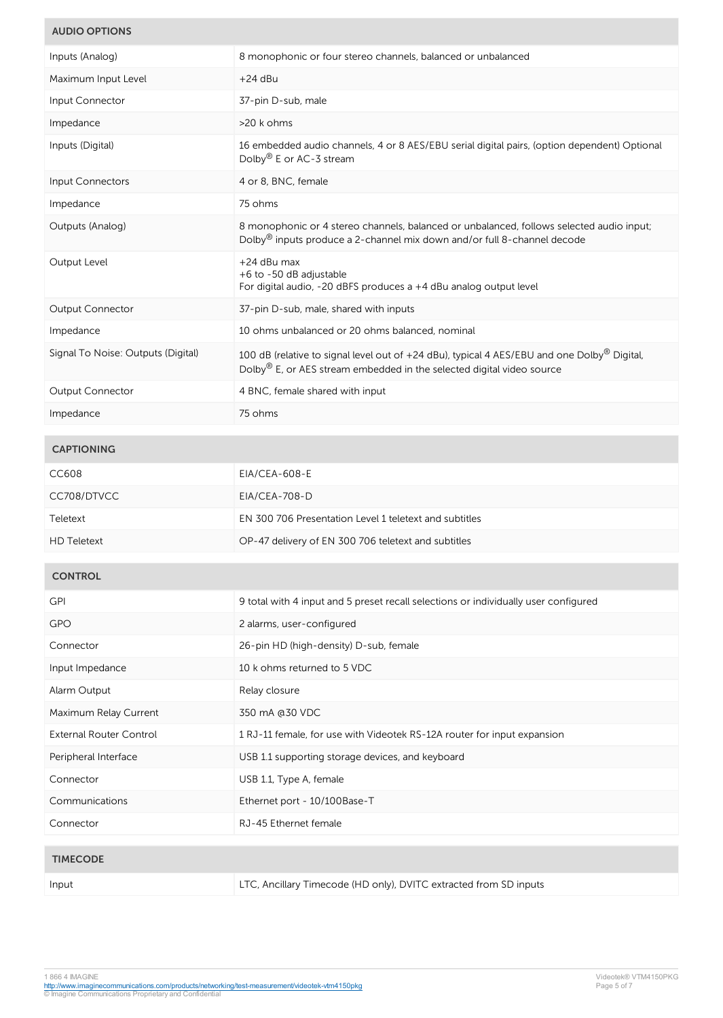# **AUDIO OPTIONS**

| Inputs (Analog)                    | 8 monophonic or four stereo channels, balanced or unbalanced                                                                                                                                 |
|------------------------------------|----------------------------------------------------------------------------------------------------------------------------------------------------------------------------------------------|
| Maximum Input Level                | $+24$ dBu                                                                                                                                                                                    |
| Input Connector                    | 37-pin D-sub, male                                                                                                                                                                           |
| Impedance                          | >20 k ohms                                                                                                                                                                                   |
| Inputs (Digital)                   | 16 embedded audio channels, 4 or 8 AES/EBU serial digital pairs, (option dependent) Optional<br>Dolby <sup>®</sup> E or AC-3 stream                                                          |
| Input Connectors                   | 4 or 8, BNC, female                                                                                                                                                                          |
| Impedance                          | 75 ohms                                                                                                                                                                                      |
| Outputs (Analog)                   | 8 monophonic or 4 stereo channels, balanced or unbalanced, follows selected audio input;<br>Dolby® inputs produce a 2-channel mix down and/or full 8-channel decode                          |
| Output Level                       | +24 dBu max<br>+6 to -50 dB adjustable<br>For digital audio, -20 dBFS produces a +4 dBu analog output level                                                                                  |
| <b>Output Connector</b>            | 37-pin D-sub, male, shared with inputs                                                                                                                                                       |
| Impedance                          | 10 ohms unbalanced or 20 ohms balanced, nominal                                                                                                                                              |
| Signal To Noise: Outputs (Digital) | 100 dB (relative to signal level out of +24 dBu), typical 4 AES/EBU and one Dolby <sup>®</sup> Digital,<br>Dolby <sup>®</sup> E, or AES stream embedded in the selected digital video source |
| Output Connector                   | 4 BNC, female shared with input                                                                                                                                                              |
| Impedance                          | 75 ohms                                                                                                                                                                                      |
| <b>CAPTIONING</b>                  |                                                                                                                                                                                              |
| CC608                              | <b>EIA/CEA-608-E</b>                                                                                                                                                                         |
| CC708/DTVCC                        | EIA/CEA-708-D                                                                                                                                                                                |
| Teletext                           | EN 300 706 Presentation Level 1 teletext and subtitles                                                                                                                                       |
| <b>HD Teletext</b>                 | OP-47 delivery of EN 300 706 teletext and subtitles                                                                                                                                          |
|                                    |                                                                                                                                                                                              |
| <b>CONTROL</b>                     |                                                                                                                                                                                              |
| <b>GPI</b>                         | 9 total with 4 input and 5 preset recall selections or individually user configured                                                                                                          |
| GPO                                | 2 alarms, user-configured                                                                                                                                                                    |
| Connector                          | 26-pin HD (high-density) D-sub, female                                                                                                                                                       |
| Input Impedance                    | 10 k ohms returned to 5 VDC                                                                                                                                                                  |
| Alarm Output                       | Relay closure                                                                                                                                                                                |
| Maximum Relay Current              | 350 mA @30 VDC                                                                                                                                                                               |
| <b>External Router Control</b>     | 1 RJ-11 female, for use with Videotek RS-12A router for input expansion                                                                                                                      |
| Peripheral Interface               | USB 1.1 supporting storage devices, and keyboard                                                                                                                                             |
| Connector                          | USB 1.1, Type A, female                                                                                                                                                                      |
| Communications                     | Ethernet port - 10/100Base-T                                                                                                                                                                 |
| Connector                          | RJ-45 Ethernet female                                                                                                                                                                        |
| <b>TIMECODE</b>                    |                                                                                                                                                                                              |
|                                    |                                                                                                                                                                                              |
| Input                              | LTC, Ancillary Timecode (HD only), DVITC extracted from SD inputs                                                                                                                            |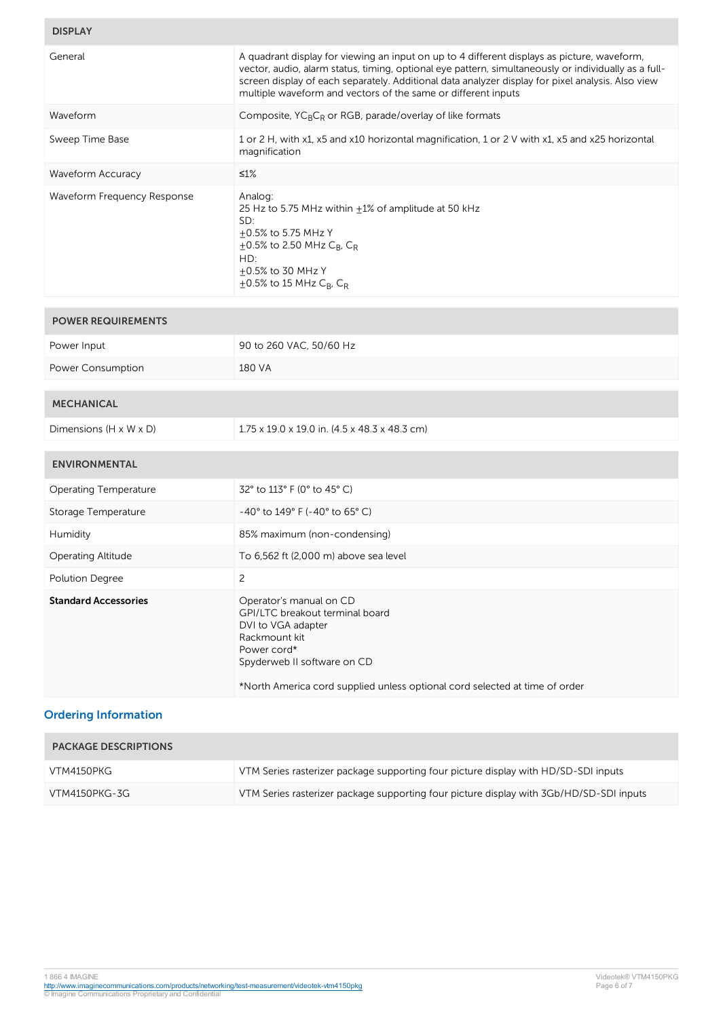# **DISPLAY**

| General                      | A quadrant display for viewing an input on up to 4 different displays as picture, waveform,<br>vector, audio, alarm status, timing, optional eye pattern, simultaneously or individually as a full-<br>screen display of each separately. Additional data analyzer display for pixel analysis. Also view<br>multiple waveform and vectors of the same or different inputs |
|------------------------------|---------------------------------------------------------------------------------------------------------------------------------------------------------------------------------------------------------------------------------------------------------------------------------------------------------------------------------------------------------------------------|
| Waveform                     | Composite, YC <sub>B</sub> C <sub>R</sub> or RGB, parade/overlay of like formats                                                                                                                                                                                                                                                                                          |
| Sweep Time Base              | 1 or 2 H, with x1, x5 and x10 horizontal magnification, 1 or 2 V with x1, x5 and x25 horizontal<br>magnification                                                                                                                                                                                                                                                          |
| <b>Waveform Accuracy</b>     | $≤1%$                                                                                                                                                                                                                                                                                                                                                                     |
| Waveform Frequency Response  | Analog:<br>25 Hz to 5.75 MHz within $\pm 1\%$ of amplitude at 50 kHz<br>SD:<br>+0.5% to 5.75 MHz Y<br>$\pm$ 0.5% to 2.50 MHz C <sub>B</sub> , C <sub>R</sub><br>HD:<br>+0.5% to 30 MHz Y<br>$\pm$ 0.5% to 15 MHz C <sub>B</sub> , C <sub>R</sub>                                                                                                                          |
|                              |                                                                                                                                                                                                                                                                                                                                                                           |
| <b>POWER REQUIREMENTS</b>    |                                                                                                                                                                                                                                                                                                                                                                           |
| Power Input                  | 90 to 260 VAC, 50/60 Hz                                                                                                                                                                                                                                                                                                                                                   |
| Power Consumption            | 180 VA                                                                                                                                                                                                                                                                                                                                                                    |
| <b>MECHANICAL</b>            |                                                                                                                                                                                                                                                                                                                                                                           |
| Dimensions (H x W x D)       | 1.75 x 19.0 x 19.0 in. (4.5 x 48.3 x 48.3 cm)                                                                                                                                                                                                                                                                                                                             |
| <b>ENVIRONMENTAL</b>         |                                                                                                                                                                                                                                                                                                                                                                           |
| <b>Operating Temperature</b> | 32° to 113° F (0° to 45° C)                                                                                                                                                                                                                                                                                                                                               |
| Storage Temperature          | $-40^{\circ}$ to 149° F (-40° to 65° C)                                                                                                                                                                                                                                                                                                                                   |
| Humidity                     | 85% maximum (non-condensing)                                                                                                                                                                                                                                                                                                                                              |
| Operating Altitude           | To 6,562 ft (2,000 m) above sea level                                                                                                                                                                                                                                                                                                                                     |
| Polution Degree              | 2                                                                                                                                                                                                                                                                                                                                                                         |
| <b>Standard Accessories</b>  | Operator's manual on CD<br>GPI/LTC breakout terminal board<br>DVI to VGA adapter<br>Rackmount kit<br>Power cord*<br>Spyderweb II software on CD<br>*North America cord supplied unless optional cord selected at time of order                                                                                                                                            |

# **Ordering Information**

**Contract Contract** 

| <b>PACKAGE DESCRIPTIONS</b> |                                                                                         |
|-----------------------------|-----------------------------------------------------------------------------------------|
| VTM4150PKG                  | VTM Series rasterizer package supporting four picture display with HD/SD-SDI inputs     |
| VTM4150PKG-3G               | VTM Series rasterizer package supporting four picture display with 3Gb/HD/SD-SDI inputs |